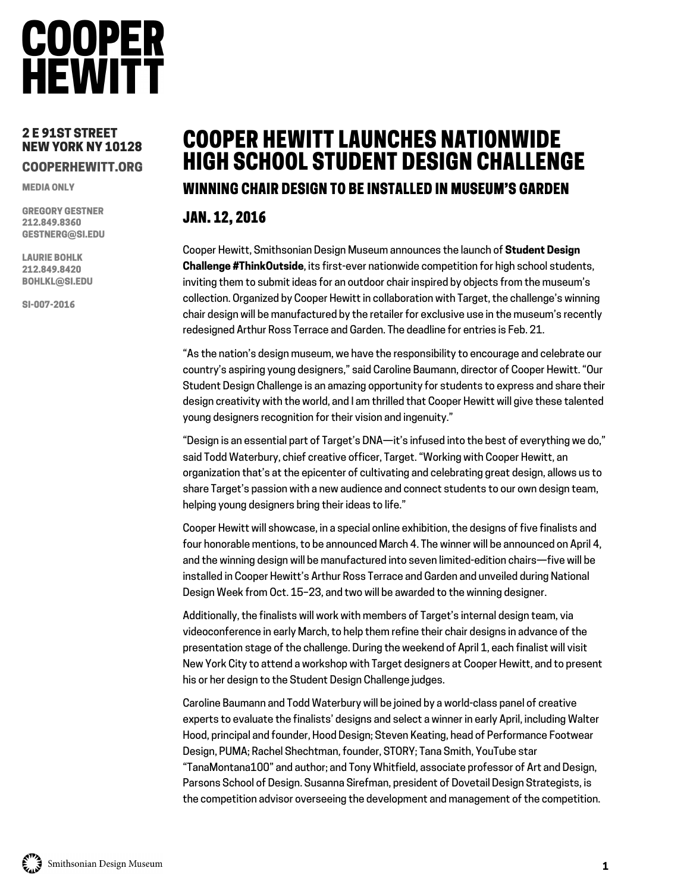### **COOPER HEWITT**

#### 2 E 91ST STREET NEW YORK NY 10128 COOPERHEWITT.ORG

MEDIA ONLY

GREGORY GESTNER 212.849.8360 GESTNERG@SI.EDU

LAURIE BOHLK 212.849.8420 BOHLKL@SI.EDU

SI-007-2016

### COOPER HEWITT LAUNCHES NATIONWIDE HIGH SCHOOL STUDENT DESIGN CHALLENGE WINNING CHAIR DESIGN TO BE INSTALLED IN MUSEUM'S GARDEN

### JAN. 12, 2016

Cooper Hewitt, Smithsonian Design Museum announces the launch of **Student Design Challenge #ThinkOutside**, its first-ever nationwide competition for high school students, inviting them to submit ideas for an outdoor chair inspired by objects from the museum's collection. Organized by Cooper Hewitt in collaboration with Target, the challenge's winning chair design will be manufactured by the retailer for exclusive use in the museum's recently redesigned Arthur Ross Terrace and Garden. The deadline for entries is Feb. 21.

"As the nation's design museum, we have the responsibility to encourage and celebrate our country's aspiring young designers," said Caroline Baumann, director of Cooper Hewitt. "Our Student Design Challenge is an amazing opportunity for students to express and share their design creativity with the world, and I am thrilled that Cooper Hewitt will give these talented young designers recognition for their vision and ingenuity."

"Design is an essential part of Target's DNA—it's infused into the best of everything we do," said Todd Waterbury, chief creative officer, Target. "Working with Cooper Hewitt, an organization that's at the epicenter of cultivating and celebrating great design, allows us to share Target's passion with a new audience and connect students to our own design team, helping young designers bring their ideas to life."

Cooper Hewitt will showcase, in a special online exhibition, the designs of five finalists and four honorable mentions, to be announced March 4. The winner will be announced on April 4, and the winning design will be manufactured into seven limited-edition chairs—five will be installed in Cooper Hewitt's Arthur Ross Terrace and Garden and unveiled during National Design Week from Oct. 15–23, and two will be awarded to the winning designer.

Additionally, the finalists will work with members of Target's internal design team, via videoconference in early March, to help them refine their chair designs in advance of the presentation stage of the challenge. During the weekend of April 1, each finalist will visit New York City to attend a workshop with Target designers at Cooper Hewitt, and to present his or her design to the Student Design Challenge judges.

Caroline Baumann and Todd Waterbury will be joined by a world-class panel of creative experts to evaluate the finalists' designs and select a winner in early April, including Walter Hood, principal and founder, Hood Design; Steven Keating, head of Performance Footwear Design, PUMA; Rachel Shechtman, founder, STORY; Tana Smith, YouTube star "TanaMontana100" and author; and Tony Whitfield, associate professor of Art and Design, Parsons School of Design. Susanna Sirefman, president of Dovetail Design Strategists, is the competition advisor overseeing the development and management of the competition.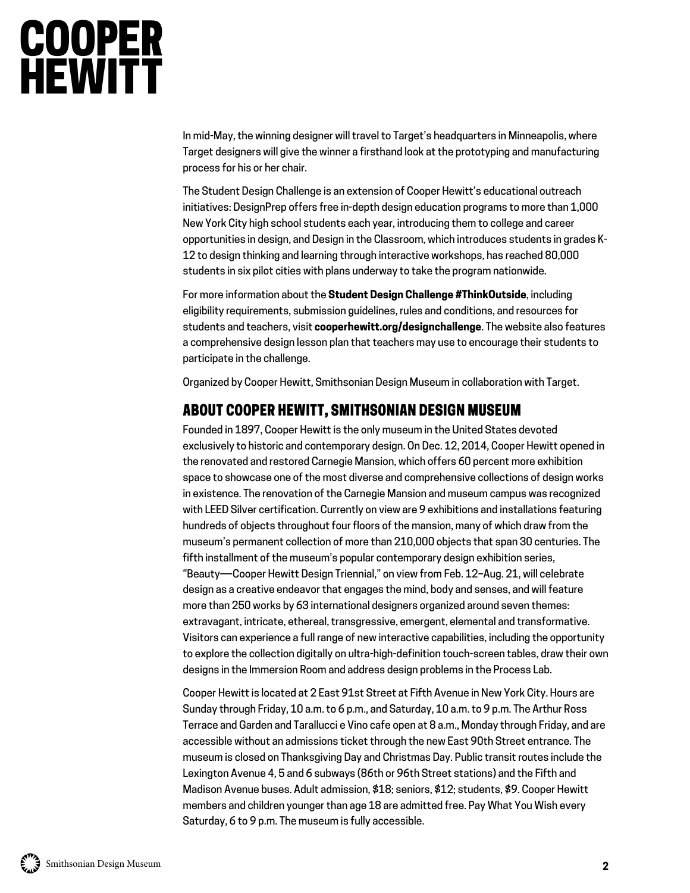# **COOPER**<br>HEWITT

In mid-May, the winning designer will travel to Target's headquarters in Minneapolis, where Target designers will give the winner a firsthand look at the prototyping and manufacturing process for his or her chair.

The Student Design Challenge is an extension of Cooper Hewitt's educational outreach initiatives: DesignPrep offers free in-depth design education programs to more than 1,000 New York City high school students each year, introducing them to college and career opportunities in design, and Design in the Classroom, which introduces students in grades K-12 to design thinking and learning through interactive workshops, has reached 80,000 students in six pilot cities with plans underway to take the program nationwide.

For more information about the **Student Design Challenge #ThinkOutside**, including eligibility requirements, submission guidelines, rules and conditions, and resources for students and teachers, visit **cooperhewitt.org/designchallenge**. The website also features a comprehensive design lesson plan that teachers may use to encourage their students to participate in the challenge.

Organized by Cooper Hewitt, Smithsonian Design Museum in collaboration with Target.

### ABOUT COOPER HEWITT, SMITHSONIAN DESIGN MUSEUM

Founded in 1897, Cooper Hewitt is the only museum in the United States devoted exclusively to historic and contemporary design. On Dec. 12, 2014, Cooper Hewitt opened in the renovated and restored Carnegie Mansion, which offers 60 percent more exhibition space to showcase one of the most diverse and comprehensive collections of design works in existence. The renovation of the Carnegie Mansion and museum campus was recognized with LEED Silver certification. Currently on view are 9 exhibitions and installations featuring hundreds of objects throughout four floors of the mansion, many of which draw from the museum's permanent collection of more than 210,000 objects that span 30 centuries. The fifth installment of the museum's popular contemporary design exhibition series, "Beauty―Cooper Hewitt Design Triennial," on view from Feb. 12–Aug. 21, will celebrate design as a creative endeavor that engages the mind, body and senses, and will feature more than 250 works by 63 international designers organized around seven themes: extravagant, intricate, ethereal, transgressive, emergent, elemental and transformative. Visitors can experience a full range of new interactive capabilities, including the opportunity to explore the collection digitally on ultra-high-definition touch-screen tables, draw their own designs in the Immersion Room and address design problems in the Process Lab.

Cooper Hewitt is located at 2 East 91st Street at Fifth Avenue in New York City. Hours are Sunday through Friday, 10 a.m. to 6 p.m., and Saturday, 10 a.m. to 9 p.m. The Arthur Ross Terrace and Garden and Tarallucci e Vino cafe open at 8 a.m., Monday through Friday, and are accessible without an admissions ticket through the new East 90th Street entrance. The museum is closed on Thanksgiving Day and Christmas Day. Public transit routes include the Lexington Avenue 4, 5 and 6 subways (86th or 96th Street stations) and the Fifth and Madison Avenue buses. Adult admission, \$18; seniors, \$12; students, \$9. Cooper Hewitt members and children younger than age 18 are admitted free. Pay What You Wish every Saturday, 6 to 9 p.m. The museum is fully accessible.